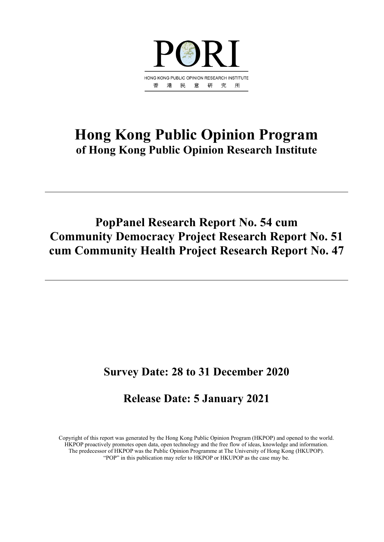

## **Hong Kong Public Opinion Program of Hong Kong Public Opinion Research Institute**

## **PopPanel Research Report No. 54 cum Community Democracy Project Research Report No. 51 cum Community Health Project Research Report No. 47**

## **Survey Date: 28 to 31 December 2020**

## **Release Date: 5 January 2021**

Copyright of this report was generated by the Hong Kong Public Opinion Program (HKPOP) and opened to the world. HKPOP proactively promotes open data, open technology and the free flow of ideas, knowledge and information. The predecessor of HKPOP was the Public Opinion Programme at The University of Hong Kong (HKUPOP). "POP" in this publication may refer to HKPOP or HKUPOP as the case may be.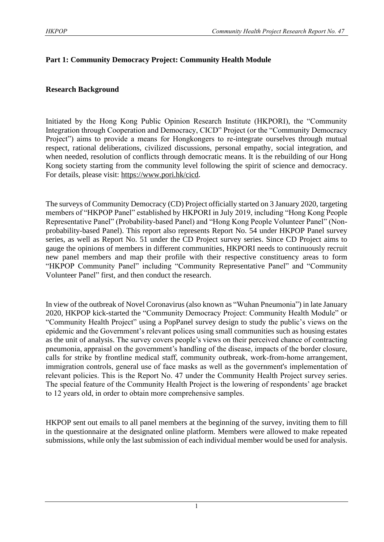#### **Part 1: Community Democracy Project: Community Health Module**

#### **Research Background**

Initiated by the Hong Kong Public Opinion Research Institute (HKPORI), the "Community Integration through Cooperation and Democracy, CICD" Project (or the "Community Democracy Project") aims to provide a means for Hongkongers to re-integrate ourselves through mutual respect, rational deliberations, civilized discussions, personal empathy, social integration, and when needed, resolution of conflicts through democratic means. It is the rebuilding of our Hong Kong society starting from the community level following the spirit of science and democracy. For details, please visit: [https://www.pori.hk/cicd.](https://www.pori.hk/cicd)

The surveys of Community Democracy (CD) Project officially started on 3 January 2020, targeting members of "HKPOP Panel" established by HKPORI in July 2019, including "Hong Kong People Representative Panel" (Probability-based Panel) and "Hong Kong People Volunteer Panel" (Nonprobability-based Panel). This report also represents Report No. 54 under HKPOP Panel survey series, as well as Report No. 51 under the CD Project survey series. Since CD Project aims to gauge the opinions of members in different communities, HKPORI needs to continuously recruit new panel members and map their profile with their respective constituency areas to form "HKPOP Community Panel" including "Community Representative Panel" and "Community Volunteer Panel" first, and then conduct the research.

In view of the outbreak of Novel Coronavirus (also known as "Wuhan Pneumonia") in late January 2020, HKPOP kick-started the "Community Democracy Project: Community Health Module" or "Community Health Project" using a PopPanel survey design to study the public's views on the epidemic and the Government's relevant polices using small communities such as housing estates as the unit of analysis. The survey covers people's views on their perceived chance of contracting pneumonia, appraisal on the government's handling of the disease, impacts of the border closure, calls for strike by frontline medical staff, community outbreak, work-from-home arrangement, immigration controls, general use of face masks as well as the government's implementation of relevant policies. This is the Report No. 47 under the Community Health Project survey series. The special feature of the Community Health Project is the lowering of respondents' age bracket to 12 years old, in order to obtain more comprehensive samples.

HKPOP sent out emails to all panel members at the beginning of the survey, inviting them to fill in the questionnaire at the designated online platform. Members were allowed to make repeated submissions, while only the last submission of each individual member would be used for analysis.

1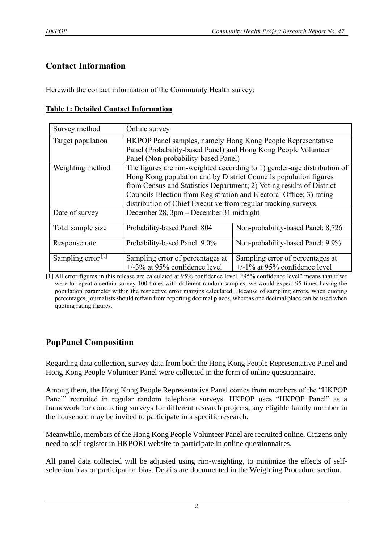## **Contact Information**

Herewith the contact information of the Community Health survey:

|  | <b>Table 1: Detailed Contact Information</b> |
|--|----------------------------------------------|
|  |                                              |

| Survey method                 | Online survey                                                        |                                                                         |  |  |  |  |  |  |
|-------------------------------|----------------------------------------------------------------------|-------------------------------------------------------------------------|--|--|--|--|--|--|
| Target population             | HKPOP Panel samples, namely Hong Kong People Representative          |                                                                         |  |  |  |  |  |  |
|                               | Panel (Probability-based Panel) and Hong Kong People Volunteer       |                                                                         |  |  |  |  |  |  |
|                               | Panel (Non-probability-based Panel)                                  |                                                                         |  |  |  |  |  |  |
| Weighting method              |                                                                      | The figures are rim-weighted according to 1) gender-age distribution of |  |  |  |  |  |  |
|                               | Hong Kong population and by District Councils population figures     |                                                                         |  |  |  |  |  |  |
|                               | from Census and Statistics Department; 2) Voting results of District |                                                                         |  |  |  |  |  |  |
|                               | Councils Election from Registration and Electoral Office; 3) rating  |                                                                         |  |  |  |  |  |  |
|                               |                                                                      | distribution of Chief Executive from regular tracking surveys.          |  |  |  |  |  |  |
| Date of survey                | December 28, 3pm – December 31 midnight                              |                                                                         |  |  |  |  |  |  |
| Total sample size             | Probability-based Panel: 804                                         | Non-probability-based Panel: 8,726                                      |  |  |  |  |  |  |
| Response rate                 | Probability-based Panel: 9.0%                                        | Non-probability-based Panel: 9.9%                                       |  |  |  |  |  |  |
| Sampling error <sup>[1]</sup> | Sampling error of percentages at                                     | Sampling error of percentages at                                        |  |  |  |  |  |  |
|                               | $+/-3\%$ at 95% confidence level                                     | $+/-1\%$ at 95% confidence level                                        |  |  |  |  |  |  |

[1] All error figures in this release are calculated at 95% confidence level. "95% confidence level" means that if we were to repeat a certain survey 100 times with different random samples, we would expect 95 times having the population parameter within the respective error margins calculated. Because of sampling errors, when quoting percentages, journalists should refrain from reporting decimal places, whereas one decimal place can be used when quoting rating figures.

## **PopPanel Composition**

Regarding data collection, survey data from both the Hong Kong People Representative Panel and Hong Kong People Volunteer Panel were collected in the form of online questionnaire.

Among them, the Hong Kong People Representative Panel comes from members of the "HKPOP Panel" recruited in regular random telephone surveys. HKPOP uses "HKPOP Panel" as a framework for conducting surveys for different research projects, any eligible family member in the household may be invited to participate in a specific research.

Meanwhile, members of the Hong Kong People Volunteer Panel are recruited online. Citizens only need to self-register in HKPORI website to participate in online questionnaires.

All panel data collected will be adjusted using rim-weighting, to minimize the effects of selfselection bias or participation bias. Details are documented in the Weighting Procedure section.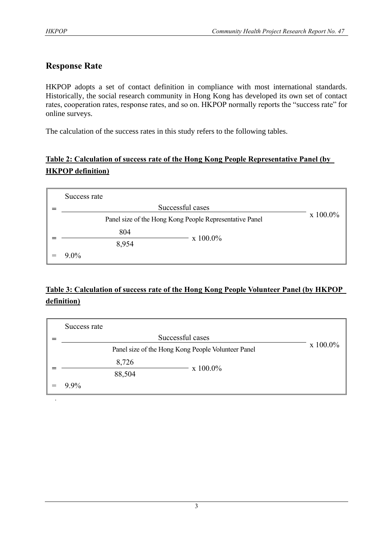## **Response Rate**

HKPOP adopts a set of contact definition in compliance with most international standards. Historically, the social research community in Hong Kong has developed its own set of contact rates, cooperation rates, response rates, and so on. HKPOP normally reports the "success rate" for online surveys.

The calculation of the success rates in this study refers to the following tables.

## **Table 2: Calculation of success rate of the Hong Kong People Representative Panel (by HKPOP definition)**

| Success rate                                            |          |
|---------------------------------------------------------|----------|
| Successful cases                                        |          |
| Panel size of the Hong Kong People Representative Panel | x 100.0% |
| 804                                                     |          |
| $x 100.0\%$<br>8,954                                    |          |
| $9.0\%$                                                 |          |

## **Table 3: Calculation of success rate of the Hong Kong People Volunteer Panel (by HKPOP definition)**

| Success rate |                                                    |          |          |
|--------------|----------------------------------------------------|----------|----------|
|              | Successful cases                                   |          |          |
|              | Panel size of the Hong Kong People Volunteer Panel |          | x 100.0% |
|              | 8,726                                              |          |          |
|              | 88,504                                             | x 100.0% |          |
| 9.9%         |                                                    |          |          |
|              |                                                    |          |          |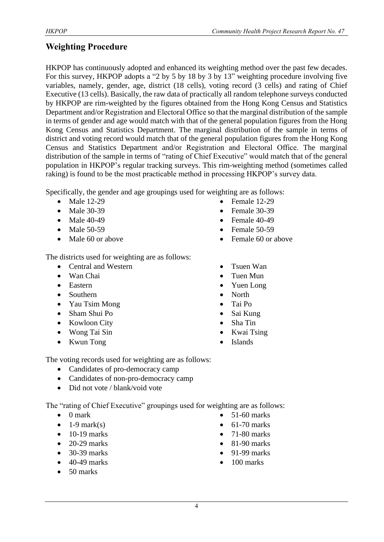## **Weighting Procedure**

HKPOP has continuously adopted and enhanced its weighting method over the past few decades. For this survey, HKPOP adopts a "2 by 5 by 18 by 3 by 13" weighting procedure involving five variables, namely, gender, age, district (18 cells), voting record (3 cells) and rating of Chief Executive (13 cells). Basically, the raw data of practically all random telephone surveys conducted by HKPOP are rim-weighted by the figures obtained from the Hong Kong Census and Statistics Department and/or Registration and Electoral Office so that the marginal distribution of the sample in terms of gender and age would match with that of the general population figures from the Hong Kong Census and Statistics Department. The marginal distribution of the sample in terms of district and voting record would match that of the general population figures from the Hong Kong Census and Statistics Department and/or Registration and Electoral Office. The marginal distribution of the sample in terms of "rating of Chief Executive" would match that of the general population in HKPOP's regular tracking surveys. This rim-weighting method (sometimes called raking) is found to be the most practicable method in processing HKPOP's survey data.

Specifically, the gender and age groupings used for weighting are as follows:

- Male 12-29
- Male 30-39
- Male 40-49
- Male 50-59
- Male 60 or above

The districts used for weighting are as follows:

- Central and Western
- Wan Chai
- Eastern
- Southern
- Yau Tsim Mong
- Sham Shui Po
- Kowloon City
- Wong Tai Sin
- Kwun Tong
- Female 12-29
- Female 30-39
- Female 40-49
- Female 50-59
- Female 60 or above
- Tsuen Wan
- Tuen Mun
- Yuen Long
- North
- Tai Po
- Sai Kung
- Sha Tin
- Kwai Tsing
- **Islands**

The voting records used for weighting are as follows:

- Candidates of pro-democracy camp
- Candidates of non-pro-democracy camp
- Did not vote / blank/void vote

The "rating of Chief Executive" groupings used for weighting are as follows:

- 0 mark
- $\bullet$  1-9 mark(s)
- $\bullet$  10-19 marks
- $\bullet$  20-29 marks
- 30-39 marks
- 40-49 marks
- 50 marks
- 51-60 marks
- $\bullet$  61-70 marks
- 71-80 marks
- $\bullet$  81-90 marks
- 91-99 marks
- 100 marks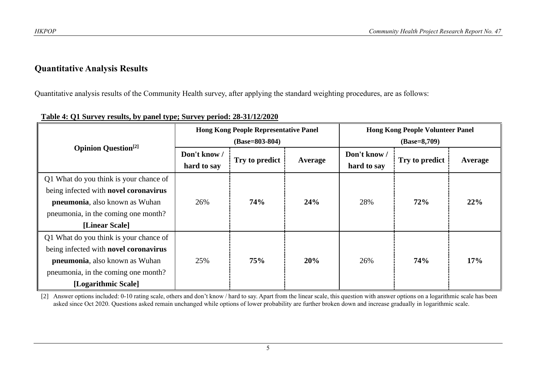#### **Quantitative Analysis Results**

Quantitative analysis results of the Community Health survey, after applying the standard weighting procedures, are as follows:

|                                        |              | <b>Hong Kong People Representative Panel</b> |         | <b>Hong Kong People Volunteer Panel</b> |                |         |  |
|----------------------------------------|--------------|----------------------------------------------|---------|-----------------------------------------|----------------|---------|--|
|                                        |              | $(Base=803-804)$                             |         | $(Base=8,709)$                          |                |         |  |
| <b>Opinion Question</b> <sup>[2]</sup> | Don't know / |                                              |         | Don't know /                            |                |         |  |
|                                        | hard to say  | Try to predict                               | Average | hard to say                             | Try to predict | Average |  |
| Q1 What do you think is your chance of |              |                                              |         |                                         |                |         |  |
| being infected with novel coronavirus  |              |                                              |         | 28%                                     |                |         |  |
| <b>pneumonia</b> , also known as Wuhan | 26%          | <b>74%</b>                                   | 24%     |                                         | 72%            | 22%     |  |
| pneumonia, in the coming one month?    |              |                                              |         |                                         |                |         |  |
| [Linear Scale]                         |              |                                              |         |                                         |                |         |  |
| Q1 What do you think is your chance of |              |                                              |         |                                         |                |         |  |
| being infected with novel coronavirus  |              |                                              |         |                                         |                | 17%     |  |
| <b>pneumonia</b> , also known as Wuhan | 25%          | 75%                                          | 20%     | 26%                                     | <b>74%</b>     |         |  |
| pneumonia, in the coming one month?    |              |                                              |         |                                         |                |         |  |
| [Logarithmic Scale]                    |              |                                              |         |                                         |                |         |  |

#### **Table 4: Q1 Survey results, by panel type; Survey period: 28-31/12/2020**

[2] Answer options included: 0-10 rating scale, others and don't know / hard to say. Apart from the linear scale, this question with answer options on a logarithmic scale has been asked since Oct 2020. Questions asked remain unchanged while options of lower probability are further broken down and increase gradually in logarithmic scale.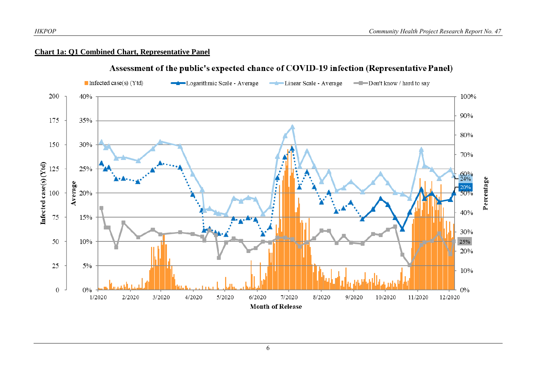#### **Chart 1a: Q1 Combined Chart, Representative Panel**



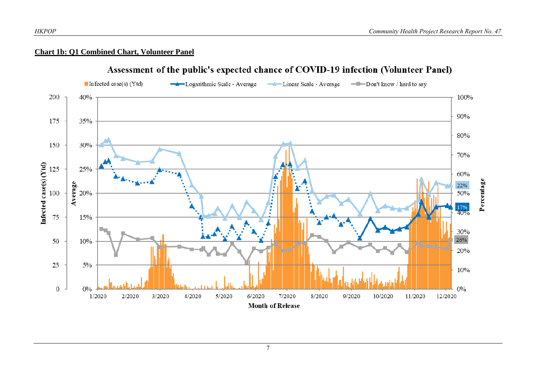#### **Chart 1b: Q1 Combined Chart, Volunteer Panel**



#### Assessment of the public's expected chance of COVID-19 infection (Volunteer Panel)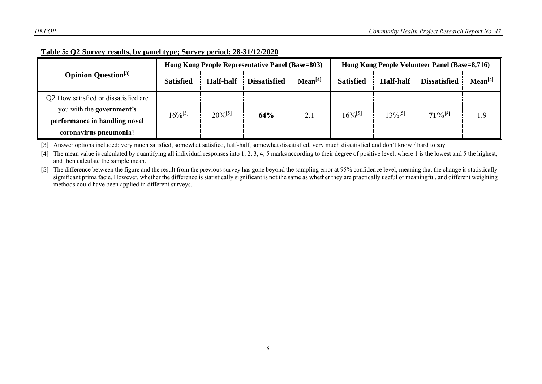| Table 5: Q2 Survey results, by panel type; Survey period: 28-31/12/2020 |
|-------------------------------------------------------------------------|
|-------------------------------------------------------------------------|

|                                        |                  |                  | Hong Kong People Representative Panel (Base=803) |                     | Hong Kong People Volunteer Panel (Base=8,716) |                  |                       |                     |
|----------------------------------------|------------------|------------------|--------------------------------------------------|---------------------|-----------------------------------------------|------------------|-----------------------|---------------------|
| <b>Opinion Question</b> <sup>[3]</sup> | <b>Satisfied</b> | <b>Half-half</b> | <b>Dissatisfied</b>                              | Mean <sup>[4]</sup> | <b>Satisfied</b>                              | <b>Half-half</b> | <b>Dissatisfied</b>   | Mean <sup>[4]</sup> |
| Q2 How satisfied or dissatisfied are   |                  |                  |                                                  |                     |                                               |                  |                       |                     |
| you with the government's              | $16\%^{[5]}$     | $20\%^{[5]}$     | 64%                                              | 2.1                 | $16\%^{[5]}$                                  | $13\%^{[5]}$     | $71\%$ <sup>[5]</sup> | 1.9                 |
| performance in handling novel          |                  |                  |                                                  |                     |                                               |                  |                       |                     |
| coronavirus pneumonia?                 |                  |                  |                                                  |                     |                                               |                  |                       |                     |

[3] Answer options included: very much satisfied, somewhat satisfied, half-half, somewhat dissatisfied, very much dissatisfied and don't know / hard to say.

[4] The mean value is calculated by quantifying all individual responses into 1, 2, 3, 4, 5 marks according to their degree of positive level, where 1 is the lowest and 5 the highest, and then calculate the sample mean.

[5] The difference between the figure and the result from the previous survey has gone beyond the sampling error at 95% confidence level, meaning that the change is statistically significant prima facie. However, whether the difference is statistically significant is not the same as whether they are practically useful or meaningful, and different weighting methods could have been applied in different surveys.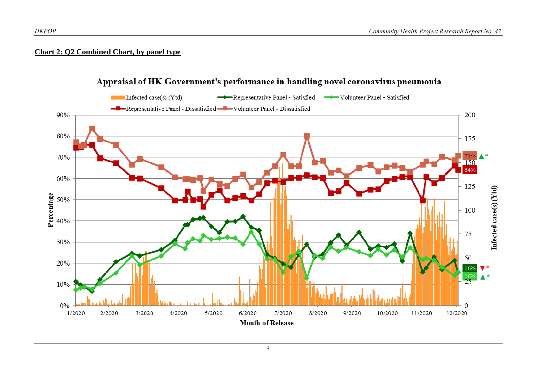#### **Chart 2: Q2 Combined Chart, by panel type**



#### Appraisal of HK Government's performance in handling novel coronavirus pneumonia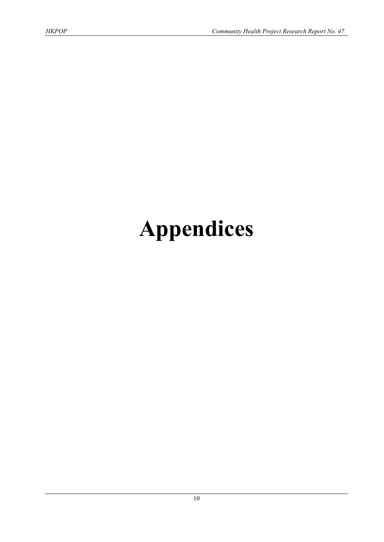# **Appendices**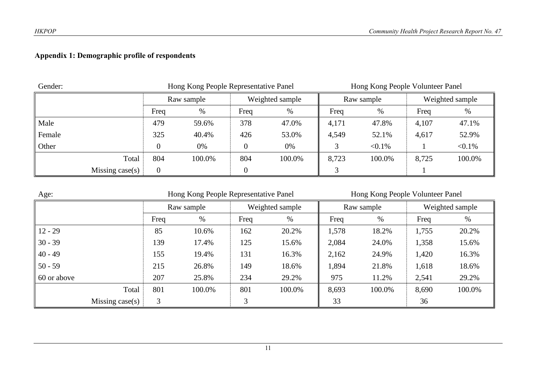## **Appendix 1: Demographic profile of respondents**

| Gender: |                    |            | Hong Kong People Representative Panel |      | Hong Kong People Volunteer Panel |            |           |                 |           |
|---------|--------------------|------------|---------------------------------------|------|----------------------------------|------------|-----------|-----------------|-----------|
|         |                    | Raw sample |                                       |      | Weighted sample                  | Raw sample |           | Weighted sample |           |
|         |                    | Freq       | %                                     | Freq | %                                | Freq       | %         | Freq            | %         |
| Male    |                    | 479        | 59.6%                                 | 378  | 47.0%                            | 4,171      | 47.8%     | 4,107           | 47.1%     |
| Female  |                    | 325        | 40.4%                                 | 426  | 53.0%                            | 4,549      | 52.1%     | 4,617           | 52.9%     |
| Other   |                    |            | 0%                                    | 0    | 0%                               |            | $< 0.1\%$ |                 | $< 0.1\%$ |
|         | Total              | 804        | 100.0%                                | 804  | 100.0%                           | 8,723      | 100.0%    | 8,725           | 100.0%    |
|         | Missing case $(s)$ | 0          |                                       |      |                                  |            |           |                 |           |

| Age:               | Hong Kong People Representative Panel |        |      |                 | Hong Kong People Volunteer Panel |            |       |                 |  |
|--------------------|---------------------------------------|--------|------|-----------------|----------------------------------|------------|-------|-----------------|--|
|                    | Raw sample                            |        |      | Weighted sample |                                  | Raw sample |       | Weighted sample |  |
|                    | Freq                                  | %      | Freq | %               | Freq                             | $\%$       | Freq  | %               |  |
| $12 - 29$          | 85                                    | 10.6%  | 162  | 20.2%           | 1,578                            | 18.2%      | 1,755 | 20.2%           |  |
| $30 - 39$          | 139                                   | 17.4%  | 125  | 15.6%           | 2,084                            | 24.0%      | 1,358 | 15.6%           |  |
| $40 - 49$          | 155                                   | 19.4%  | 131  | 16.3%           | 2,162                            | 24.9%      | 1,420 | 16.3%           |  |
| $50 - 59$          | 215                                   | 26.8%  | 149  | 18.6%           | 1,894                            | 21.8%      | 1,618 | 18.6%           |  |
| 60 or above        | 207                                   | 25.8%  | 234  | 29.2%           | 975                              | 11.2%      | 2,541 | 29.2%           |  |
| Total              | 801                                   | 100.0% | 801  | 100.0%          | 8,693                            | 100.0%     | 8,690 | 100.0%          |  |
| Missing case $(s)$ | 3                                     |        | 3    |                 | 33                               |            | 36    |                 |  |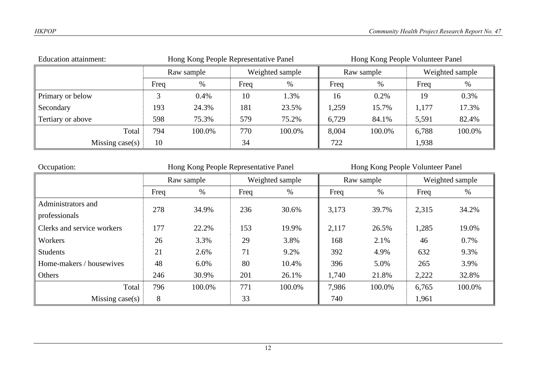| Education attainment: | Hong Kong People Representative Panel |            |                 |        | Hong Kong People Volunteer Panel |        |                 |        |
|-----------------------|---------------------------------------|------------|-----------------|--------|----------------------------------|--------|-----------------|--------|
|                       |                                       | Raw sample | Weighted sample |        | Raw sample                       |        | Weighted sample |        |
|                       | Freq                                  | %          | Freq            | %      | Freq                             | %      | Freq            | %      |
| Primary or below      |                                       | 0.4%       | 10              | 1.3%   | 16                               | 0.2%   | 19              | 0.3%   |
| Secondary             | 193                                   | 24.3%      | 181             | 23.5%  | 1,259                            | 15.7%  | 1,177           | 17.3%  |
| Tertiary or above     | 598                                   | 75.3%      | 579             | 75.2%  | 6,729                            | 84.1%  | 5,591           | 82.4%  |
| Total                 | 794                                   | 100.0%     | 770             | 100.0% | 8,004                            | 100.0% | 6,788           | 100.0% |
| Missing case(s)       | 10                                    |            | 34              |        | 722                              |        | 1,938           |        |
|                       |                                       |            |                 |        |                                  |        |                 |        |

| Occupation:                | Hong Kong People Representative Panel |            |      |                 | Hong Kong People Volunteer Panel |            |       |                 |  |
|----------------------------|---------------------------------------|------------|------|-----------------|----------------------------------|------------|-------|-----------------|--|
|                            |                                       | Raw sample |      | Weighted sample |                                  | Raw sample |       | Weighted sample |  |
|                            | Freq                                  | %          | Freq | $\%$            | Freq                             | %          | Freq  | $\%$            |  |
| Administrators and         | 278                                   | 34.9%      | 236  | 30.6%           | 3,173                            | 39.7%      | 2,315 | 34.2%           |  |
| professionals              |                                       |            |      |                 |                                  |            |       |                 |  |
| Clerks and service workers | 177                                   | 22.2%      | 153  | 19.9%           | 2,117                            | 26.5%      | 1,285 | 19.0%           |  |
| Workers                    | 26                                    | 3.3%       | 29   | 3.8%            | 168                              | 2.1%       | 46    | 0.7%            |  |
| <b>Students</b>            | 21                                    | 2.6%       | 71   | 9.2%            | 392                              | 4.9%       | 632   | 9.3%            |  |
| Home-makers / housewives   | 48                                    | 6.0%       | 80   | 10.4%           | 396                              | 5.0%       | 265   | 3.9%            |  |
| Others                     | 246                                   | 30.9%      | 201  | 26.1%           | 1,740                            | 21.8%      | 2,222 | 32.8%           |  |
| Total                      | 796                                   | 100.0%     | 771  | 100.0%          | 7,986                            | 100.0%     | 6,765 | 100.0%          |  |
| Missing $case(s)$          | 8                                     |            | 33   |                 | 740                              |            | 1,961 |                 |  |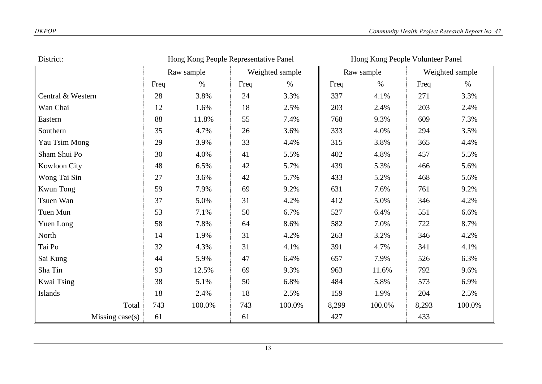| District:         | Hong Kong People Representative Panel |            |      |                 |       | Hong Kong People Volunteer Panel |       |                 |  |
|-------------------|---------------------------------------|------------|------|-----------------|-------|----------------------------------|-------|-----------------|--|
|                   |                                       | Raw sample |      | Weighted sample |       | Raw sample                       |       | Weighted sample |  |
|                   | Freq                                  | $\%$       | Freq | $\%$            | Freq  | $\%$                             | Freq  | $\%$            |  |
| Central & Western | 28                                    | 3.8%       | 24   | 3.3%            | 337   | 4.1%                             | 271   | 3.3%            |  |
| Wan Chai          | 12                                    | 1.6%       | 18   | 2.5%            | 203   | 2.4%                             | 203   | 2.4%            |  |
| Eastern           | 88                                    | 11.8%      | 55   | 7.4%            | 768   | 9.3%                             | 609   | 7.3%            |  |
| Southern          | 35                                    | 4.7%       | 26   | 3.6%            | 333   | 4.0%                             | 294   | 3.5%            |  |
| Yau Tsim Mong     | 29                                    | 3.9%       | 33   | 4.4%            | 315   | 3.8%                             | 365   | 4.4%            |  |
| Sham Shui Po      | 30                                    | 4.0%       | 41   | 5.5%            | 402   | 4.8%                             | 457   | 5.5%            |  |
| Kowloon City      | 48                                    | 6.5%       | 42   | 5.7%            | 439   | 5.3%                             | 466   | 5.6%            |  |
| Wong Tai Sin      | 27                                    | 3.6%       | 42   | 5.7%            | 433   | 5.2%                             | 468   | 5.6%            |  |
| <b>Kwun Tong</b>  | 59                                    | 7.9%       | 69   | 9.2%            | 631   | 7.6%                             | 761   | 9.2%            |  |
| Tsuen Wan         | 37                                    | 5.0%       | 31   | 4.2%            | 412   | 5.0%                             | 346   | 4.2%            |  |
| Tuen Mun          | 53                                    | 7.1%       | 50   | 6.7%            | 527   | 6.4%                             | 551   | 6.6%            |  |
| Yuen Long         | 58                                    | 7.8%       | 64   | 8.6%            | 582   | 7.0%                             | 722   | 8.7%            |  |
| North             | 14                                    | 1.9%       | 31   | 4.2%            | 263   | 3.2%                             | 346   | 4.2%            |  |
| Tai Po            | 32                                    | 4.3%       | 31   | 4.1%            | 391   | 4.7%                             | 341   | 4.1%            |  |
| Sai Kung          | 44                                    | 5.9%       | 47   | 6.4%            | 657   | 7.9%                             | 526   | 6.3%            |  |
| Sha Tin           | 93                                    | 12.5%      | 69   | 9.3%            | 963   | 11.6%                            | 792   | 9.6%            |  |
| Kwai Tsing        | 38                                    | 5.1%       | 50   | 6.8%            | 484   | 5.8%                             | 573   | 6.9%            |  |
| Islands           | 18                                    | 2.4%       | 18   | 2.5%            | 159   | 1.9%                             | 204   | 2.5%            |  |
| Total             | 743                                   | 100.0%     | 743  | 100.0%          | 8,299 | 100.0%                           | 8,293 | 100.0%          |  |
| Missing $case(s)$ | 61                                    |            | 61   |                 | 427   |                                  | 433   |                 |  |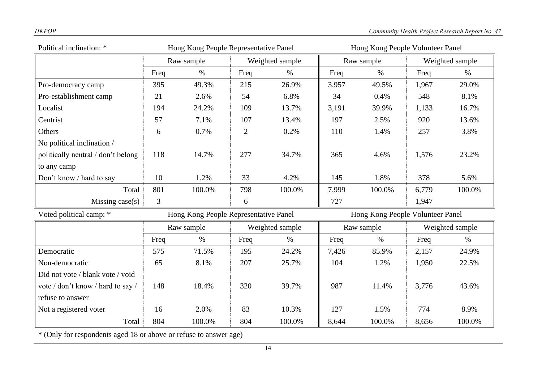| Political inclination: *           | Hong Kong People Representative Panel                                     |            |                               |        | Hong Kong People Volunteer Panel |                 |                 |        |
|------------------------------------|---------------------------------------------------------------------------|------------|-------------------------------|--------|----------------------------------|-----------------|-----------------|--------|
|                                    |                                                                           | Raw sample | Weighted sample<br>Raw sample |        |                                  | Weighted sample |                 |        |
|                                    | Freq                                                                      | $\%$       | Freq                          | $\%$   | Freq                             | $\%$            | Freq            | $\%$   |
| Pro-democracy camp                 | 395                                                                       | 49.3%      | 215                           | 26.9%  | 3,957                            | 49.5%           | 1,967           | 29.0%  |
| Pro-establishment camp             | 21                                                                        | 2.6%       | 54                            | 6.8%   | 34                               | 0.4%            | 548             | 8.1%   |
| Localist                           | 194                                                                       | 24.2%      | 109                           | 13.7%  | 3,191                            | 39.9%           | 1,133           | 16.7%  |
| Centrist                           | 57                                                                        | 7.1%       | 107                           | 13.4%  | 197                              | 2.5%            | 920             | 13.6%  |
| Others                             | 6                                                                         | 0.7%       | $\overline{2}$                | 0.2%   | 110                              | 1.4%            | 257             | 3.8%   |
| No political inclination /         |                                                                           |            |                               |        |                                  |                 |                 |        |
| politically neutral / don't belong | 118                                                                       | 14.7%      | 277                           | 34.7%  | 365                              | 4.6%            | 1,576           | 23.2%  |
| to any camp                        |                                                                           |            |                               |        |                                  |                 |                 |        |
| Don't know / hard to say           | 10                                                                        | 1.2%       | 33                            | 4.2%   | 145                              | 1.8%            | 378             | 5.6%   |
| Total                              | 801                                                                       | 100.0%     | 798                           | 100.0% | 7,999                            | 100.0%          | 6,779           | 100.0% |
| Missing $case(s)$                  | $\mathfrak{Z}$                                                            |            | 6                             |        | 727                              |                 | 1,947           |        |
| Voted political camp: *            | Hong Kong People Volunteer Panel<br>Hong Kong People Representative Panel |            |                               |        |                                  |                 |                 |        |
|                                    |                                                                           | Raw sample | Weighted sample               |        | Raw sample                       |                 | Weighted sample |        |
|                                    | Freq                                                                      | $\%$       | Freq                          | $\%$   | Freq                             | $\%$            | Freq            | $\%$   |
| Democratic                         | 575                                                                       | 71.5%      | 195                           | 24.2%  | 7,426                            | 85.9%           | 2,157           | 24.9%  |
| Non-democratic                     | 65                                                                        | 8.1%       | 207                           | 25.7%  | 104                              | 1.2%            | 1,950           | 22.5%  |
| Did not vote / blank vote / void   |                                                                           |            |                               |        |                                  |                 |                 |        |
| vote / don't know / hard to say /  | 148                                                                       | 18.4%      | 320                           | 39.7%  | 987                              | 11.4%           | 3,776           | 43.6%  |
| refuse to answer                   |                                                                           |            |                               |        |                                  |                 |                 |        |
| Not a registered voter             | 16                                                                        | 2.0%       | 83                            | 10.3%  | 127                              | 1.5%            | 774             | 8.9%   |
| Total                              | 804                                                                       | 100.0%     | 804                           | 100.0% | 8,644                            | 100.0%          | 8,656           | 100.0% |

\* (Only for respondents aged 18 or above or refuse to answer age)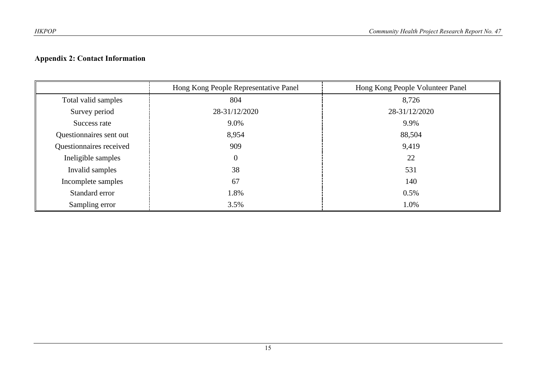## **Appendix 2: Contact Information**

|                         | Hong Kong People Representative Panel | Hong Kong People Volunteer Panel |
|-------------------------|---------------------------------------|----------------------------------|
| Total valid samples     | 804                                   | 8,726                            |
| Survey period           | 28-31/12/2020                         | 28-31/12/2020                    |
| Success rate            | 9.0%                                  | 9.9%                             |
| Questionnaires sent out | 8,954                                 | 88,504                           |
| Questionnaires received | 909                                   | 9,419                            |
| Ineligible samples      | $\boldsymbol{0}$                      | 22                               |
| Invalid samples         | 38                                    | 531                              |
| Incomplete samples      | 67                                    | 140                              |
| Standard error          | 1.8%                                  | 0.5%                             |
| Sampling error          | 3.5%                                  | 1.0%                             |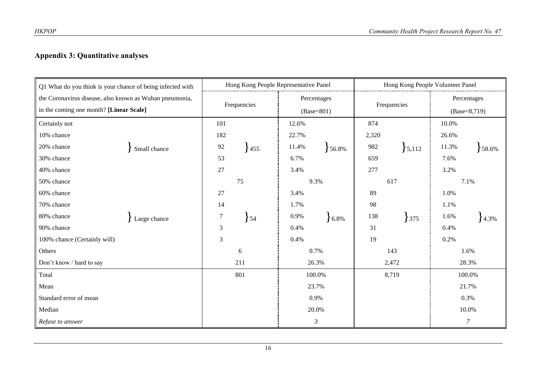## **Appendix 3: Quantitative analyses**

| Q1 What do you think is your chance of being infected with | Hong Kong People Representative Panel |                      | Hong Kong People Volunteer Panel |                 |  |  |
|------------------------------------------------------------|---------------------------------------|----------------------|----------------------------------|-----------------|--|--|
| the Coronavirus disease, also known as Wuhan pneumonia,    |                                       | Percentages          |                                  | Percentages     |  |  |
| in the coming one month? [Linear Scale]                    | Frequencies                           | $(Base=801)$         | Frequencies                      | $(Base=8,719)$  |  |  |
| Certainly not                                              | 101                                   | 12.6%                | 874                              | 10.0%           |  |  |
| 10% chance                                                 | 182                                   | 22.7%                | 2,320                            | 26.6%           |  |  |
| 20% chance<br>Small chance                                 | $92\,$<br>455                         | 11.4%<br>56.8%       | 982<br>5,112                     | 11.3%<br>58.6%  |  |  |
| 30% chance                                                 | 53                                    | 6.7%                 | 659                              | 7.6%            |  |  |
| 40% chance                                                 | 27                                    | 3.4%                 | 277                              | 3.2%            |  |  |
| 50% chance                                                 | 75                                    | 9.3%                 | 617                              | 7.1%            |  |  |
| 60% chance                                                 | 27                                    | 3.4%                 | 89                               | 1.0%            |  |  |
| 70% chance                                                 | 14                                    | 1.7%                 | 98                               | 1.1%            |  |  |
| 80% chance<br>Large chance                                 | $\overline{7}$<br>$\left\{54\right\}$ | 0.9%<br>$6.8\%$      | 138<br>$375$                     | 1.6%<br>$4.3\%$ |  |  |
| 90% chance                                                 | $\mathfrak{Z}$                        | 0.4%                 | 31                               | 0.4%            |  |  |
| 100% chance (Certainly will)                               | 3                                     | 0.4%                 | 19                               | 0.2%            |  |  |
| Others                                                     | $\sqrt{6}$                            | 0.7%                 | 143                              | 1.6%            |  |  |
| Don't know / hard to say                                   | 211                                   | 26.3%                | 2,472                            | 28.3%           |  |  |
| Total                                                      | 801                                   | 100.0%               | 8,719                            | 100.0%          |  |  |
| Mean                                                       |                                       | 23.7%                |                                  | 21.7%           |  |  |
| Standard error of mean                                     |                                       | 0.9%                 |                                  | 0.3%            |  |  |
| Median                                                     |                                       | 20.0%                |                                  | 10.0%           |  |  |
| Refuse to answer                                           |                                       | $\boldsymbol{\beta}$ |                                  | $\overline{7}$  |  |  |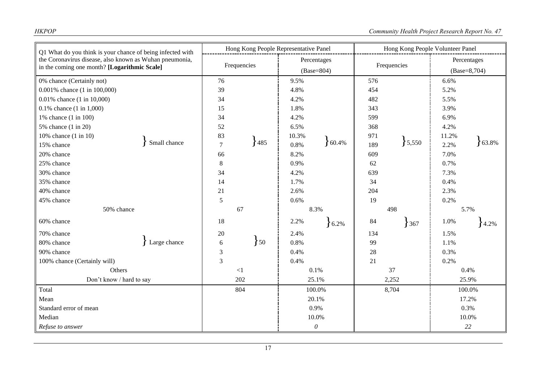| Q1 What do you think is your chance of being infected with<br>the Coronavirus disease, also known as Wuhan pneumonia,<br>in the coming one month? [Logarithmic Scale] |              | Hong Kong People Representative Panel |                     |             | Hong Kong People Volunteer Panel |             |       |                |        |
|-----------------------------------------------------------------------------------------------------------------------------------------------------------------------|--------------|---------------------------------------|---------------------|-------------|----------------------------------|-------------|-------|----------------|--------|
|                                                                                                                                                                       |              | Frequencies                           |                     | Percentages |                                  | Frequencies |       | Percentages    |        |
|                                                                                                                                                                       |              |                                       |                     | (Base=804)  |                                  |             |       | $(Base=8,704)$ |        |
| 0% chance (Certainly not)                                                                                                                                             |              | 76                                    |                     | 9.5%        |                                  | 576         |       | 6.6%           |        |
| 0.001% chance (1 in 100,000)                                                                                                                                          |              | 39                                    |                     | 4.8%        |                                  | 454         |       | 5.2%           |        |
| 0.01% chance (1 in 10,000)                                                                                                                                            |              | 34                                    |                     | 4.2%        |                                  | 482         |       | 5.5%           |        |
| $0.1\%$ chance $(1 \text{ in } 1,000)$                                                                                                                                |              | 15                                    |                     | 1.8%        |                                  | 343         |       | 3.9%           |        |
| 1% chance (1 in 100)                                                                                                                                                  |              | 34                                    |                     | 4.2%        |                                  | 599         |       | 6.9%           |        |
| 5% chance (1 in 20)                                                                                                                                                   |              | 52                                    | 6.5%                |             | 368                              |             | 4.2%  |                |        |
| 10% chance $(1 \text{ in } 10)$                                                                                                                                       |              | 83                                    |                     | 10.3%       |                                  | 971         |       | 11.2%          | 63.8%  |
| 15% chance                                                                                                                                                            | Small chance | $\overline{7}$                        | 485                 | 0.8%        | 60.4%                            | 189         | 5,550 | 2.2%           |        |
| 20% chance                                                                                                                                                            |              | 66                                    |                     | 8.2%        |                                  | 609         |       | 7.0%           |        |
| 25% chance                                                                                                                                                            |              | 8                                     |                     | 0.9%        |                                  | 62          |       | 0.7%           |        |
| 30% chance                                                                                                                                                            |              | 34                                    |                     | 4.2%        |                                  | 639         |       | 7.3%           |        |
| 35% chance                                                                                                                                                            |              | 14                                    |                     | 1.7%        |                                  | 34          |       | 0.4%           |        |
| 40% chance                                                                                                                                                            |              | 21                                    |                     | 2.6%        |                                  | 204         |       | 2.3%           |        |
| 45% chance                                                                                                                                                            |              | 5                                     |                     | 0.6%        |                                  | 19          |       | 0.2%           |        |
| 50% chance                                                                                                                                                            |              | 67                                    |                     | 8.3%        |                                  | 498         |       | 5.7%           |        |
| 60% chance                                                                                                                                                            |              | 18                                    |                     | 2.2%        | 6.2%                             | 84          | 367   | 1.0%           | 4.2%   |
| 70% chance                                                                                                                                                            |              | 20                                    |                     | 2.4%        |                                  | 134         |       | 1.5%           |        |
| 80% chance                                                                                                                                                            | Large chance | 6                                     | $\left\{50\right\}$ | 0.8%        |                                  | 99          |       | 1.1%           |        |
| 90% chance                                                                                                                                                            |              | 3                                     |                     | 0.4%        |                                  | 28          |       | 0.3%           |        |
| 100% chance (Certainly will)                                                                                                                                          |              | 3                                     |                     | 0.4%        |                                  | 21          |       | 0.2%           |        |
| Others                                                                                                                                                                |              | $\leq$ 1                              |                     |             | 0.1%                             |             | 37    |                | 0.4%   |
| Don't know / hard to say                                                                                                                                              |              | 202                                   |                     |             | 25.1%                            |             | 2,252 |                | 25.9%  |
| Total                                                                                                                                                                 |              | 804                                   |                     |             | 100.0%                           |             | 8,704 |                | 100.0% |
| Mean                                                                                                                                                                  |              |                                       |                     |             | 20.1%                            |             |       |                | 17.2%  |
| Standard error of mean                                                                                                                                                |              |                                       |                     |             | 0.9%                             |             |       |                | 0.3%   |
| Median                                                                                                                                                                |              |                                       |                     |             | 10.0%                            |             |       |                | 10.0%  |
| Refuse to answer                                                                                                                                                      |              |                                       |                     |             | $\boldsymbol{\theta}$            |             |       |                | 22     |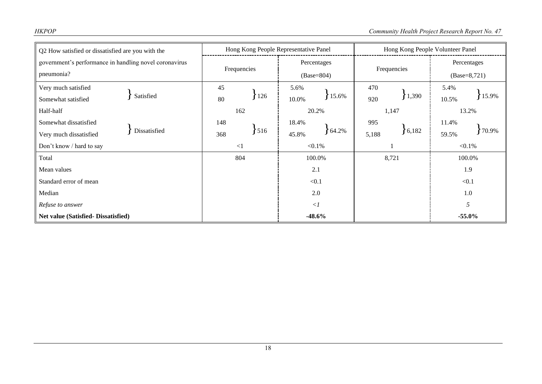| Q2 How satisfied or dissatisfied are you with the      | Hong Kong People Representative Panel |                   | Hong Kong People Volunteer Panel |                |  |  |
|--------------------------------------------------------|---------------------------------------|-------------------|----------------------------------|----------------|--|--|
| government's performance in handling novel coronavirus | Frequencies                           | Percentages       | Frequencies                      | Percentages    |  |  |
| pneumonia?                                             |                                       | $(Base=804)$      |                                  | $(Base=8,721)$ |  |  |
| Very much satisfied                                    | 45                                    | 5.6%              | 470                              | 5.4%           |  |  |
| Satisfied<br>Somewhat satisfied                        | 126<br>80                             | 15.6%<br>10.0%    | 1,390<br>920                     | 15.9%<br>10.5% |  |  |
| Half-half                                              | 162                                   | 20.2%             | 1,147                            | 13.2%          |  |  |
| Somewhat dissatisfied                                  | 148                                   | 18.4%             | 995                              | 11.4%          |  |  |
| Dissatisfied<br>Very much dissatisfied                 | 516<br>368                            | $64.2\%$<br>45.8% | 6,182<br>5,188                   | 70.9%<br>59.5% |  |  |
| Don't know / hard to say                               | $\leq$ 1                              | $< 0.1\%$         |                                  | $< 0.1\%$      |  |  |
| Total                                                  | 804                                   | 100.0%            | 8,721                            | 100.0%         |  |  |
| Mean values                                            |                                       | 2.1               |                                  | 1.9            |  |  |
| Standard error of mean                                 |                                       | < 0.1             |                                  | < 0.1          |  |  |
| Median                                                 |                                       | 2.0               |                                  | 1.0            |  |  |
| Refuse to answer                                       |                                       | $\langle$ 1       |                                  | 5              |  |  |
| Net value (Satisfied-Dissatisfied)                     |                                       | $-48.6%$          |                                  | $-55.0\%$      |  |  |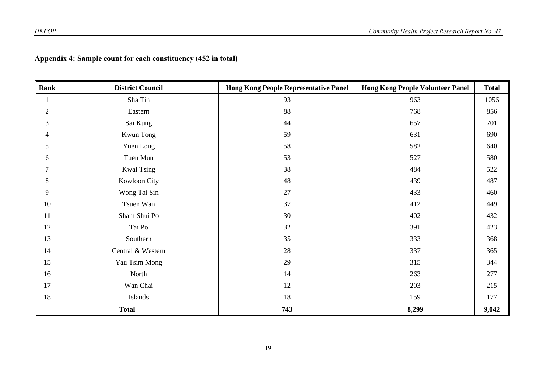## **Appendix 4: Sample count for each constituency (452 in total)**

| Rank           | <b>District Council</b> | <b>Hong Kong People Representative Panel</b> | <b>Hong Kong People Volunteer Panel</b> | <b>Total</b> |
|----------------|-------------------------|----------------------------------------------|-----------------------------------------|--------------|
| 1              | Sha Tin                 | 93                                           | 963                                     | 1056         |
| $\mathbf{2}$   | Eastern                 | 88                                           | 768                                     | 856          |
| 3              | Sai Kung                | 44                                           | 657                                     | 701          |
| $\overline{4}$ | Kwun Tong               | 59                                           | 631                                     | 690          |
| 5              | Yuen Long               | 58                                           | 582                                     | 640          |
| 6              | Tuen Mun                | 53                                           | 527                                     | 580          |
| $\overline{7}$ | Kwai Tsing              | 38                                           | 484                                     | 522          |
| 8              | Kowloon City            | 48                                           | 439                                     | 487          |
| 9              | Wong Tai Sin            | $27\,$                                       | 433                                     | 460          |
| 10             | Tsuen Wan               | 37                                           | 412                                     | 449          |
| 11             | Sham Shui Po            | 30                                           | 402                                     | 432          |
| 12             | Tai Po                  | 32                                           | 391                                     | 423          |
| 13             | Southern                | 35                                           | 333                                     | 368          |
| 14             | Central & Western       | 28                                           | 337                                     | 365          |
| 15             | Yau Tsim Mong           | 29                                           | 315                                     | 344          |
| 16             | North                   | 14                                           | 263                                     | 277          |
| 17             | Wan Chai                | 12                                           | 203                                     | 215          |
| 18             | Islands                 | 18                                           | 159                                     | 177          |
|                | <b>Total</b>            | 743                                          | 8,299                                   | 9,042        |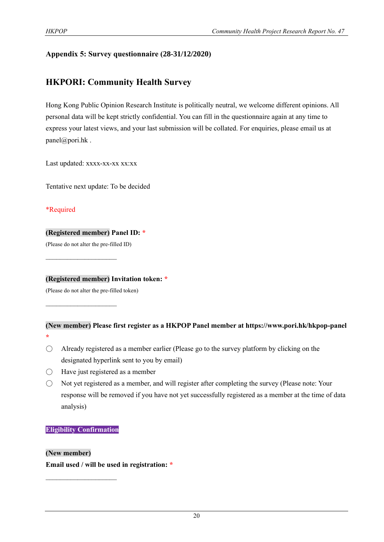#### **Appendix 5: Survey questionnaire (28-31/12/2020)**

## **HKPORI: Community Health Survey**

Hong Kong Public Opinion Research Institute is politically neutral, we welcome different opinions. All personal data will be kept strictly confidential. You can fill in the questionnaire again at any time to express your latest views, and your last submission will be collated. For enquiries, please email us at panel@pori.hk .

Last updated: xxxx-xx-xx xx:xx

Tentative next update: To be decided

\*Required

#### **(Registered member) Panel ID: \***

(Please do not alter the pre-filled ID)

 $\mathcal{L}_\text{max}$  , where  $\mathcal{L}_\text{max}$ 

 $\mathcal{L}_\text{max}$  , where  $\mathcal{L}_\text{max}$ 

**(Registered member) Invitation token: \***

(Please do not alter the pre-filled token)

#### **(New member) Please first register as a HKPOP Panel member at https://www.pori.hk/hkpop-panel \***

- $\bigcirc$  Already registered as a member earlier (Please go to the survey platform by clicking on the designated hyperlink sent to you by email)
- $\bigcirc$  Have just registered as a member
- Not yet registered as a member, and will register after completing the survey (Please note: Your response will be removed if you have not yet successfully registered as a member at the time of data analysis)

#### **Eligibility Confirmation**

 $\mathcal{L}_\text{max}$ 

#### **(New member)**

**Email used / will be used in registration: \***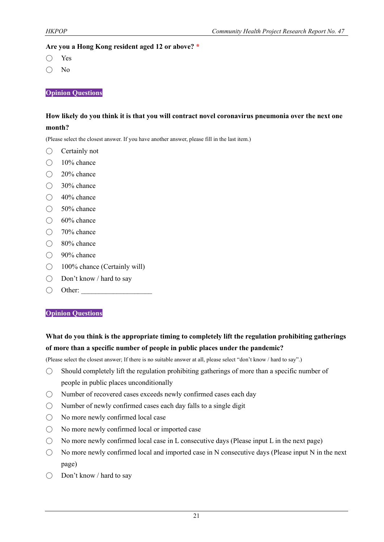#### **Are you a Hong Kong resident aged 12 or above? \***

- Yes
- No

**Opinion Questions**

#### **How likely do you think it is that you will contract novel coronavirus pneumonia over the next one month?**

(Please select the closest answer. If you have another answer, please fill in the last item.)

- Certainly not
- $\bigcirc$  10% chance
- 20% chance
- 30% chance
- 40% chance
- 50% chance
- $\bigcirc$  60% chance
- 70% chance
- 80% chance
- $\bigcirc$  90% chance
- 100% chance (Certainly will)
- Don't know / hard to say
- $\bigcirc$  Other:

#### **Opinion Questions**

### **What do you think is the appropriate timing to completely lift the regulation prohibiting gatherings of more than a specific number of people in public places under the pandemic?**

(Please select the closest answer; If there is no suitable answer at all, please select "don't know / hard to say".)

- Should completely lift the regulation prohibiting gatherings of more than a specific number of people in public places unconditionally
- Number of recovered cases exceeds newly confirmed cases each day
- $\bigcirc$  Number of newly confirmed cases each day falls to a single digit
- No more newly confirmed local case
- No more newly confirmed local or imported case
- $\bigcirc$  No more newly confirmed local case in L consecutive days (Please input L in the next page)
- $\bigcirc$  No more newly confirmed local and imported case in N consecutive days (Please input N in the next page)
- Don't know / hard to say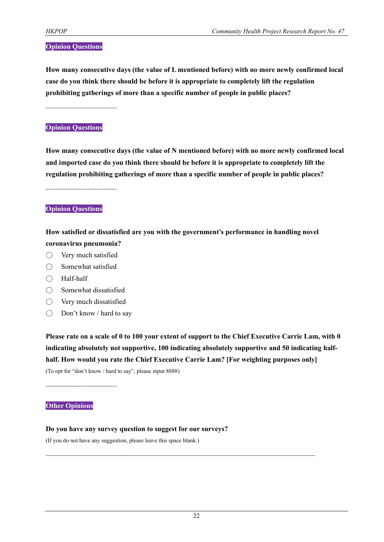#### **Opinion Questions**

**How many consecutive days (the value of L mentioned before) with no more newly confirmed local case do you think there should be before it is appropriate to completely lift the regulation prohibiting gatherings of more than a specific number of people in public places?**

 $\mathcal{L}_\text{max}$ 

#### **Opinion Questions**

**How many consecutive days (the value of N mentioned before) with no more newly confirmed local and imported case do you think there should be before it is appropriate to completely lift the regulation prohibiting gatherings of more than a specific number of people in public places?**

**Opinion Questions**

 $\mathcal{L}_\text{max}$ 

**How satisfied or dissatisfied are you with the government's performance in handling novel coronavirus pneumonia?**

- $\bigcirc$  Very much satisfied
- Somewhat satisfied
- Half-half
- Somewhat dissatisfied
- Very much dissatisfied
- Don't know / hard to say

**Please rate on a scale of 0 to 100 your extent of support to the Chief Executive Carrie Lam, with 0 indicating absolutely not supportive, 100 indicating absolutely supportive and 50 indicating halfhalf. How would you rate the Chief Executive Carrie Lam? [For weighting purposes only]**

(To opt for "don't know / hard to say", please input 8888)

#### **Other Opinions**

 $\mathcal{L}_\text{max}$  , where  $\mathcal{L}_\text{max}$ 

#### **Do you have any survey question to suggest for our surveys?**

(If you do not have any suggestion, please leave this space blank.)

 $\mathcal{L}_\mathcal{L} = \{ \mathcal{L}_\mathcal{L} = \{ \mathcal{L}_\mathcal{L} = \{ \mathcal{L}_\mathcal{L} = \{ \mathcal{L}_\mathcal{L} = \{ \mathcal{L}_\mathcal{L} = \{ \mathcal{L}_\mathcal{L} = \{ \mathcal{L}_\mathcal{L} = \{ \mathcal{L}_\mathcal{L} = \{ \mathcal{L}_\mathcal{L} = \{ \mathcal{L}_\mathcal{L} = \{ \mathcal{L}_\mathcal{L} = \{ \mathcal{L}_\mathcal{L} = \{ \mathcal{L}_\mathcal{L} = \{ \mathcal{L}_\mathcal{$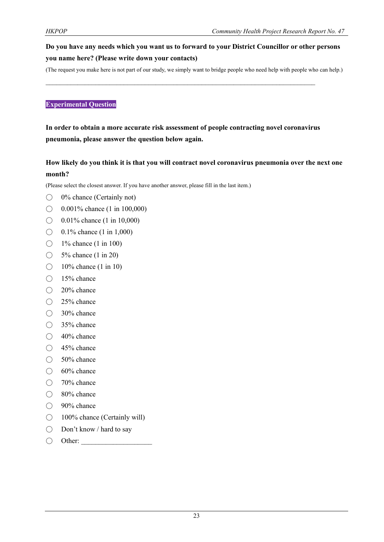## **Do you have any needs which you want us to forward to your District Councillor or other persons you name here? (Please write down your contacts)**

(The request you make here is not part of our study, we simply want to bridge people who need help with people who can help.)

#### **Experimental Question**

**In order to obtain a more accurate risk assessment of people contracting novel coronavirus pneumonia, please answer the question below again.**

 $\mathcal{L}_\mathcal{L} = \{ \mathcal{L}_\mathcal{L} = \{ \mathcal{L}_\mathcal{L} = \{ \mathcal{L}_\mathcal{L} = \{ \mathcal{L}_\mathcal{L} = \{ \mathcal{L}_\mathcal{L} = \{ \mathcal{L}_\mathcal{L} = \{ \mathcal{L}_\mathcal{L} = \{ \mathcal{L}_\mathcal{L} = \{ \mathcal{L}_\mathcal{L} = \{ \mathcal{L}_\mathcal{L} = \{ \mathcal{L}_\mathcal{L} = \{ \mathcal{L}_\mathcal{L} = \{ \mathcal{L}_\mathcal{L} = \{ \mathcal{L}_\mathcal{$ 

#### **How likely do you think it is that you will contract novel coronavirus pneumonia over the next one month?**

(Please select the closest answer. If you have another answer, please fill in the last item.)

- 0% chance (Certainly not)
- $\bigcirc$  0.001% chance (1 in 100,000)
- $\bigcirc$  0.01% chance (1 in 10,000)
- $\bigcirc$  0.1% chance (1 in 1,000)
- $\bigcirc$  1% chance (1 in 100)
- $\bigcirc$  5% chance (1 in 20)
- $\bigcirc$  10% chance (1 in 10)
- 15% chance
- 20% chance
- $\bigcirc$  25% chance
- 30% chance
- 35% chance
- 40% chance
- 45% chance
- 50% chance
- $\bigcirc$  60% chance
- 70% chance
- 80% chance
- 90% chance
- 100% chance (Certainly will)
- Don't know / hard to say
- $\bigcirc$  Other: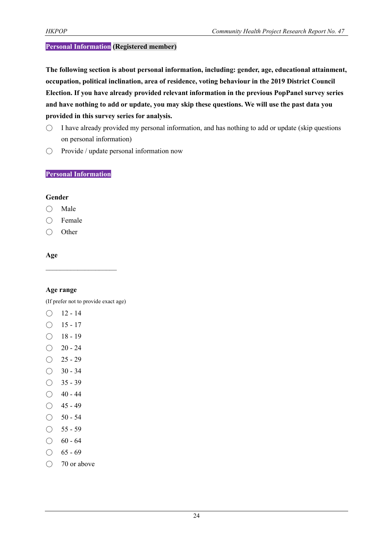#### **Personal Information (Registered member)**

**The following section is about personal information, including: gender, age, educational attainment, occupation, political inclination, area of residence, voting behaviour in the 2019 District Council Election. If you have already provided relevant information in the previous PopPanel survey series and have nothing to add or update, you may skip these questions. We will use the past data you provided in this survey series for analysis.**

- $\circ$  I have already provided my personal information, and has nothing to add or update (skip questions on personal information)
- Provide / update personal information now

#### **Personal Information**

#### **Gender**

- Male
- Female
- Other

#### **Age**

#### **Age range**

(If prefer not to provide exact age)

- $O$  12 14
- $\bigcirc$  15 17
- $\bigcirc$  18 19
- $\bigcirc$  20 24
- $\bigcirc$  25 29
- $\bigcirc$  30 34
- $\bigcirc$  35 39
- $\bigcirc$  40 44
- $\bigcirc$  45 49
- $\bigcirc$  50 54
- $\bigcirc$  55 59
- $\bigcirc$  60 64
- $\bigcirc$  65 69
- 70 or above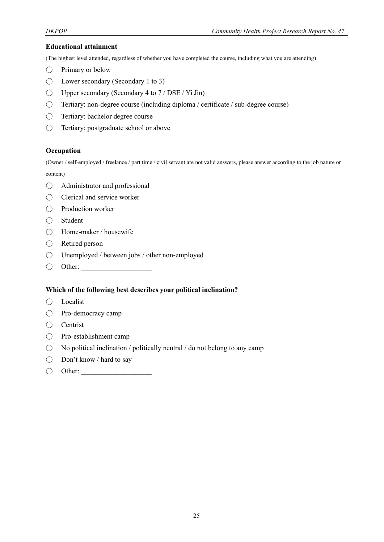#### **Educational attainment**

(The highest level attended, regardless of whether you have completed the course, including what you are attending)

- $\bigcirc$  Primary or below
- $\bigcirc$  Lower secondary (Secondary 1 to 3)
- $\bigcirc$  Upper secondary (Secondary 4 to 7 / DSE / Yi Jin)
- Tertiary: non-degree course (including diploma / certificate / sub-degree course)
- Tertiary: bachelor degree course
- Tertiary: postgraduate school or above

#### **Occupation**

(Owner / self-employed / freelance / part time / civil servant are not valid answers, please answer according to the job nature or content)

- Administrator and professional
- Clerical and service worker
- Production worker
- Student
- Home-maker / housewife
- Retired person
- Unemployed / between jobs / other non-employed
- $\bigcirc$  Other:

#### **Which of the following best describes your political inclination?**

- Localist
- Pro-democracy camp
- Centrist
- Pro-establishment camp
- $\bigcirc$  No political inclination / politically neutral / do not belong to any camp
- Don't know / hard to say
- $\bigcirc$  Other: